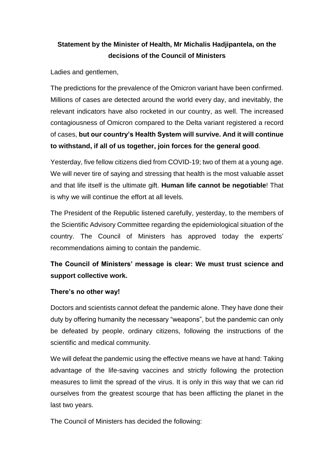## **Statement by the Minister of Health, Mr Michalis Hadjipantela, on the decisions of the Council of Ministers**

Ladies and gentlemen,

The predictions for the prevalence of the Omicron variant have been confirmed. Millions of cases are detected around the world every day, and inevitably, the relevant indicators have also rocketed in our country, as well. The increased contagiousness of Omicron compared to the Delta variant registered a record of cases, **but our country's Health System will survive. And it will continue to withstand, if all of us together, join forces for the general good**.

Yesterday, five fellow citizens died from COVID-19; two of them at a young age. We will never tire of saying and stressing that health is the most valuable asset and that life itself is the ultimate gift. **Human life cannot be negotiable**! That is why we will continue the effort at all levels.

The President of the Republic listened carefully, yesterday, to the members of the Scientific Advisory Committee regarding the epidemiological situation of the country. The Council of Ministers has approved today the experts' recommendations aiming to contain the pandemic.

## **The Council of Ministers' message is clear: We must trust science and support collective work.**

## **There's no other way!**

Doctors and scientists cannot defeat the pandemic alone. They have done their duty by offering humanity the necessary "weapons", but the pandemic can only be defeated by people, ordinary citizens, following the instructions of the scientific and medical community.

We will defeat the pandemic using the effective means we have at hand: Taking advantage of the life-saving vaccines and strictly following the protection measures to limit the spread of the virus. It is only in this way that we can rid ourselves from the greatest scourge that has been afflicting the planet in the last two years.

The Council of Ministers has decided the following: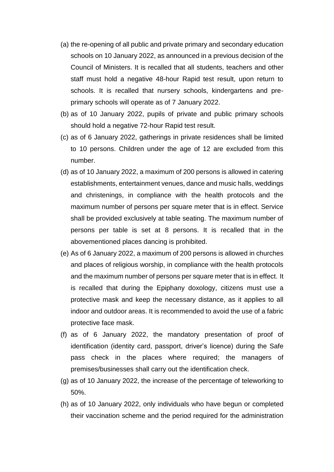- (a) the re-opening of all public and private primary and secondary education schools on 10 January 2022, as announced in a previous decision of the Council of Ministers. It is recalled that all students, teachers and other staff must hold a negative 48-hour Rapid test result, upon return to schools. It is recalled that nursery schools, kindergartens and preprimary schools will operate as of 7 January 2022.
- (b) as of 10 January 2022, pupils of private and public primary schools should hold a negative 72-hour Rapid test result.
- (c) as of 6 January 2022, gatherings in private residences shall be limited to 10 persons. Children under the age of 12 are excluded from this number.
- (d) as of 10 January 2022, a maximum of 200 persons is allowed in catering establishments, entertainment venues, dance and music halls, weddings and christenings, in compliance with the health protocols and the maximum number of persons per square meter that is in effect. Service shall be provided exclusively at table seating. The maximum number of persons per table is set at 8 persons. It is recalled that in the abovementioned places dancing is prohibited.
- (e) As of 6 January 2022, a maximum of 200 persons is allowed in churches and places of religious worship, in compliance with the health protocols and the maximum number of persons per square meter that is in effect. It is recalled that during the Epiphany doxology, citizens must use a protective mask and keep the necessary distance, as it applies to all indoor and outdoor areas. It is recommended to avoid the use of a fabric protective face mask.
- (f) as of 6 January 2022, the mandatory presentation of proof of identification (identity card, passport, driver's licence) during the Safe pass check in the places where required; the managers of premises/businesses shall carry out the identification check.
- (g) as of 10 January 2022, the increase of the percentage of teleworking to 50%.
- (h) as of 10 January 2022, only individuals who have begun or completed their vaccination scheme and the period required for the administration